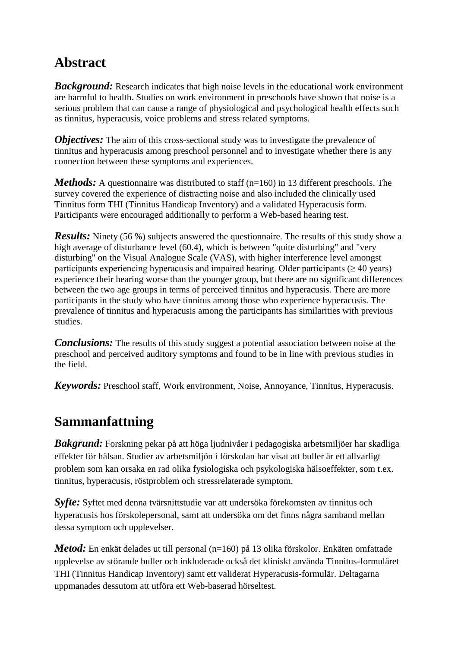## **Abstract**

*Background:* Research indicates that high noise levels in the educational work environment are harmful to health. Studies on work environment in preschools have shown that noise is a serious problem that can cause a range of physiological and psychological health effects such as tinnitus, hyperacusis, voice problems and stress related symptoms.

*Objectives:* The aim of this cross-sectional study was to investigate the prevalence of tinnitus and hyperacusis among preschool personnel and to investigate whether there is any connection between these symptoms and experiences.

*Methods:* A questionnaire was distributed to staff (n=160) in 13 different preschools. The survey covered the experience of distracting noise and also included the clinically used Tinnitus form THI (Tinnitus Handicap Inventory) and a validated Hyperacusis form. Participants were encouraged additionally to perform a Web-based hearing test.

*Results:* Ninety (56 %) subjects answered the questionnaire. The results of this study show a high average of disturbance level (60.4), which is between "quite disturbing" and "very disturbing" on the Visual Analogue Scale (VAS), with higher interference level amongst participants experiencing hyperacusis and impaired hearing. Older participants ( $\geq$  40 years) experience their hearing worse than the younger group, but there are no significant differences between the two age groups in terms of perceived tinnitus and hyperacusis. There are more participants in the study who have tinnitus among those who experience hyperacusis. The prevalence of tinnitus and hyperacusis among the participants has similarities with previous studies.

**Conclusions:** The results of this study suggest a potential association between noise at the preschool and perceived auditory symptoms and found to be in line with previous studies in the field.

*Keywords:* Preschool staff, Work environment, Noise, Annoyance, Tinnitus, Hyperacusis.

## **Sammanfattning**

*Bakgrund:* Forskning pekar på att höga ljudnivåer i pedagogiska arbetsmiljöer har skadliga effekter för hälsan. Studier av arbetsmiljön i förskolan har visat att buller är ett allvarligt problem som kan orsaka en rad olika fysiologiska och psykologiska hälsoeffekter, som t.ex. tinnitus, hyperacusis, röstproblem och stressrelaterade symptom.

*Syfte:* Syftet med denna tvärsnittstudie var att undersöka förekomsten av tinnitus och hyperacusis hos förskolepersonal, samt att undersöka om det finns några samband mellan dessa symptom och upplevelser.

*Metod:* En enkät delades ut till personal (n=160) på 13 olika förskolor. Enkäten omfattade upplevelse av störande buller och inkluderade också det kliniskt använda Tinnitus-formuläret THI (Tinnitus Handicap Inventory) samt ett validerat Hyperacusis-formulär. Deltagarna uppmanades dessutom att utföra ett Web-baserad hörseltest.